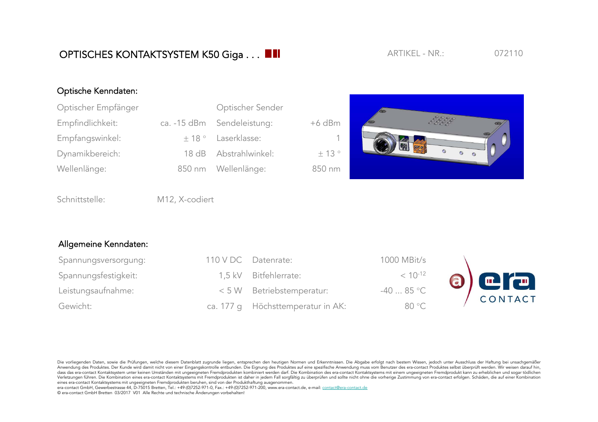## Optische Kenndaten:

| Optischer Empfänger | Optischer Sender           |          |
|---------------------|----------------------------|----------|
| Empfindlichkeit:    | ca. -15 dBm Sendeleistung: | $+6$ dBm |
| Empfangswinkel:     | $\pm$ 18 ° Laserklasse:    | -1.      |
| Dynamikbereich:     | 18 dB Abstrahlwinkel:      | ± 13°    |
| Wellenlänge:        | 850 nm Wellenlänge:        | 850 nm   |



Schnittstelle: M12, X-codiert

## Allgemeine Kenndaten:

| Spannungsversorgung: | 110 V DC Datenrate:               | 1000 MBit/s  |         |
|----------------------|-----------------------------------|--------------|---------|
| Spannungsfestigkeit: | 1.5 kV Bitfehlerrate:             | $< 10^{-12}$ | a era   |
| Leistungsaufnahme:   | < 5 W Betriebstemperatur:         | $-4085$ °C   | CONTACT |
| Gewicht:             | ca. 177 q Höchsttemperatur in AK: | 80 °C        |         |

Die vorliegenden Daten, sowie die Prüfungen, welche diesem Datenblatt zugrunde liegen, entsprechen den heutigen Normen und Erkenntnissen. Die Abgabe erfolgt nach bestem Wissen, jedoch unter Ausschluss der Haftung bei unsac Anwendung des Produktes. Der Kunde wird damit nicht von einer Eingangskontrolle entbunden. Die Eignung des Produktes auf eine spezifische Anwendung muss vom Benutzer des era-contact Produktes selbst überprüft werden. Wir w dass das era-contact Kontaktsystem unter keinen Umständen mit ungeeigneten Fremdprodukten kombiniert werden darf. Die Kombination des era-contact Kontaktsystems mit einem ungeeigneten Fremdprodukt kann zu erheblichen und s Verletzungen führen. Die Kombination eines era-contact Kontaktsystems mit Fremdprodukten ist daher in jedem Fall sorgfältig zu überprüfen und sollte nicht ohne die vorherige Zustimmung von era-contact erfolgen. Schäden, di eines era-contact Kontaktsystems mit ungeeigneten Fremdprodukten beruhen, sind von der Produkthaftung ausgenommen.

era-contact GmbH, Gewerbestrasse 44, D-75015 Bretten, Tel.: +49-(0)7252-971-0, Fax.: +49-(0)7252-971-200, www.era-contact.de, e-mail: contact@era-contact.de © era-contact GmbH Bretten 03/2017 V01 Alle Rechte und technische Änderungen vorbehalten!